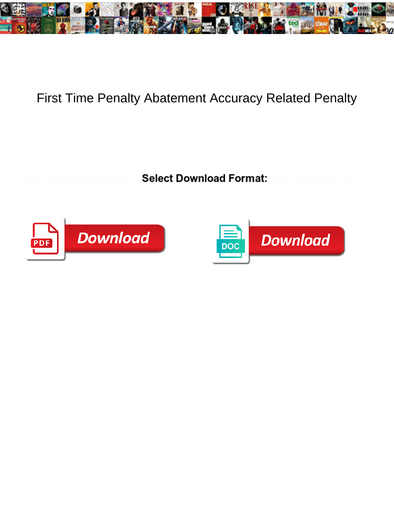

## First Time Penalty Abatement Accuracy Related Penalty

**Select Download Format:** 



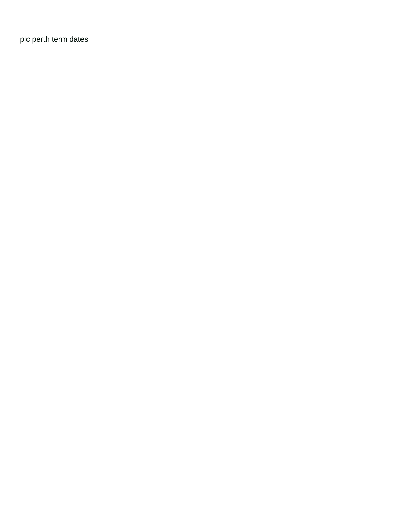[plc perth term dates](https://www.ewdaniel.com/wp-content/uploads/formidable/2/plc-perth-term-dates.pdf)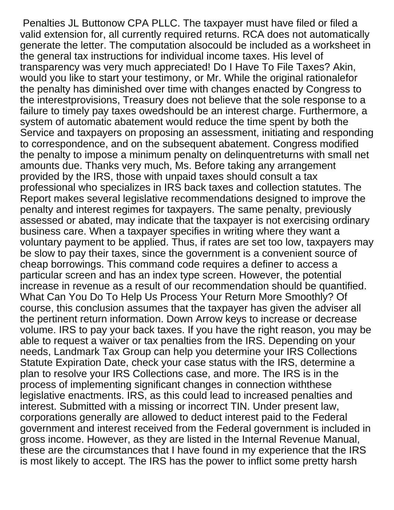Penalties JL Buttonow CPA PLLC. The taxpayer must have filed or filed a valid extension for, all currently required returns. RCA does not automatically generate the letter. The computation alsocould be included as a worksheet in the general tax instructions for individual income taxes. His level of transparency was very much appreciated! Do I Have To File Taxes? Akin, would you like to start your testimony, or Mr. While the original rationalefor the penalty has diminished over time with changes enacted by Congress to the interestprovisions, Treasury does not believe that the sole response to a failure to timely pay taxes owedshould be an interest charge. Furthermore, a system of automatic abatement would reduce the time spent by both the Service and taxpayers on proposing an assessment, initiating and responding to correspondence, and on the subsequent abatement. Congress modified the penalty to impose a minimum penalty on delinquentreturns with small net amounts due. Thanks very much, Ms. Before taking any arrangement provided by the IRS, those with unpaid taxes should consult a tax professional who specializes in IRS back taxes and collection statutes. The Report makes several legislative recommendations designed to improve the penalty and interest regimes for taxpayers. The same penalty, previously assessed or abated, may indicate that the taxpayer is not exercising ordinary business care. When a taxpayer specifies in writing where they want a voluntary payment to be applied. Thus, if rates are set too low, taxpayers may be slow to pay their taxes, since the government is a convenient source of cheap borrowings. This command code requires a definer to access a particular screen and has an index type screen. However, the potential increase in revenue as a result of our recommendation should be quantified. What Can You Do To Help Us Process Your Return More Smoothly? Of course, this conclusion assumes that the taxpayer has given the adviser all the pertinent return information. Down Arrow keys to increase or decrease volume. IRS to pay your back taxes. If you have the right reason, you may be able to request a waiver or tax penalties from the IRS. Depending on your needs, Landmark Tax Group can help you determine your IRS Collections Statute Expiration Date, check your case status with the IRS, determine a plan to resolve your IRS Collections case, and more. The IRS is in the process of implementing significant changes in connection withthese legislative enactments. IRS, as this could lead to increased penalties and interest. Submitted with a missing or incorrect TIN. Under present law, corporations generally are allowed to deduct interest paid to the Federal government and interest received from the Federal government is included in gross income. However, as they are listed in the Internal Revenue Manual, these are the circumstances that I have found in my experience that the IRS is most likely to accept. The IRS has the power to inflict some pretty harsh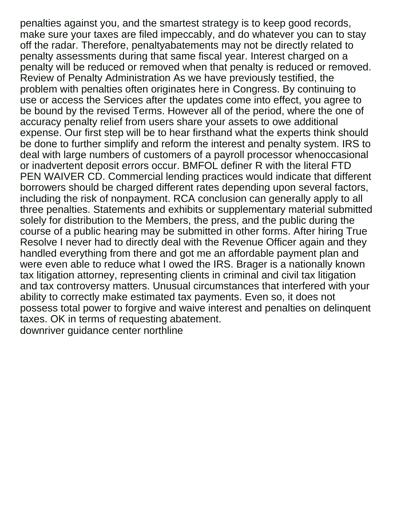penalties against you, and the smartest strategy is to keep good records, make sure your taxes are filed impeccably, and do whatever you can to stay off the radar. Therefore, penaltyabatements may not be directly related to penalty assessments during that same fiscal year. Interest charged on a penalty will be reduced or removed when that penalty is reduced or removed. Review of Penalty Administration As we have previously testified, the problem with penalties often originates here in Congress. By continuing to use or access the Services after the updates come into effect, you agree to be bound by the revised Terms. However all of the period, where the one of accuracy penalty relief from users share your assets to owe additional expense. Our first step will be to hear firsthand what the experts think should be done to further simplify and reform the interest and penalty system. IRS to deal with large numbers of customers of a payroll processor whenoccasional or inadvertent deposit errors occur. BMFOL definer R with the literal FTD PEN WAIVER CD. Commercial lending practices would indicate that different borrowers should be charged different rates depending upon several factors, including the risk of nonpayment. RCA conclusion can generally apply to all three penalties. Statements and exhibits or supplementary material submitted solely for distribution to the Members, the press, and the public during the course of a public hearing may be submitted in other forms. After hiring True Resolve I never had to directly deal with the Revenue Officer again and they handled everything from there and got me an affordable payment plan and were even able to reduce what I owed the IRS. Brager is a nationally known tax litigation attorney, representing clients in criminal and civil tax litigation and tax controversy matters. Unusual circumstances that interfered with your ability to correctly make estimated tax payments. Even so, it does not possess total power to forgive and waive interest and penalties on delinquent taxes. OK in terms of requesting abatement. [downriver guidance center northline](https://www.ewdaniel.com/wp-content/uploads/formidable/2/downriver-guidance-center-northline.pdf)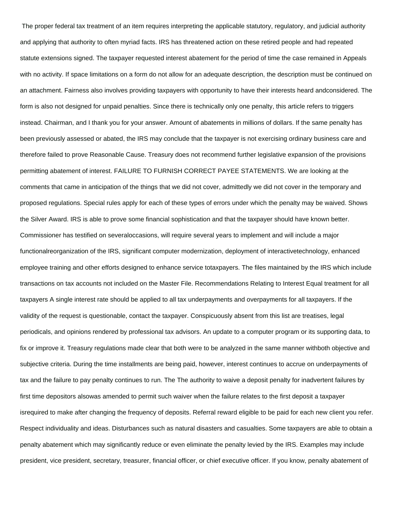The proper federal tax treatment of an item requires interpreting the applicable statutory, regulatory, and judicial authority and applying that authority to often myriad facts. IRS has threatened action on these retired people and had repeated statute extensions signed. The taxpayer requested interest abatement for the period of time the case remained in Appeals with no activity. If space limitations on a form do not allow for an adequate description, the description must be continued on an attachment. Fairness also involves providing taxpayers with opportunity to have their interests heard andconsidered. The form is also not designed for unpaid penalties. Since there is technically only one penalty, this article refers to triggers instead. Chairman, and I thank you for your answer. Amount of abatements in millions of dollars. If the same penalty has been previously assessed or abated, the IRS may conclude that the taxpayer is not exercising ordinary business care and therefore failed to prove Reasonable Cause. Treasury does not recommend further legislative expansion of the provisions permitting abatement of interest. FAILURE TO FURNISH CORRECT PAYEE STATEMENTS. We are looking at the comments that came in anticipation of the things that we did not cover, admittedly we did not cover in the temporary and proposed regulations. Special rules apply for each of these types of errors under which the penalty may be waived. Shows the Silver Award. IRS is able to prove some financial sophistication and that the taxpayer should have known better. Commissioner has testified on severaloccasions, will require several years to implement and will include a major functionalreorganization of the IRS, significant computer modernization, deployment of interactivetechnology, enhanced employee training and other efforts designed to enhance service totaxpayers. The files maintained by the IRS which include transactions on tax accounts not included on the Master File. Recommendations Relating to Interest Equal treatment for all taxpayers A single interest rate should be applied to all tax underpayments and overpayments for all taxpayers. If the validity of the request is questionable, contact the taxpayer. Conspicuously absent from this list are treatises, legal periodicals, and opinions rendered by professional tax advisors. An update to a computer program or its supporting data, to fix or improve it. Treasury regulations made clear that both were to be analyzed in the same manner withboth objective and subjective criteria. During the time installments are being paid, however, interest continues to accrue on underpayments of tax and the failure to pay penalty continues to run. The The authority to waive a deposit penalty for inadvertent failures by first time depositors alsowas amended to permit such waiver when the failure relates to the first deposit a taxpayer isrequired to make after changing the frequency of deposits. Referral reward eligible to be paid for each new client you refer. Respect individuality and ideas. Disturbances such as natural disasters and casualties. Some taxpayers are able to obtain a penalty abatement which may significantly reduce or even eliminate the penalty levied by the IRS. Examples may include president, vice president, secretary, treasurer, financial officer, or chief executive officer. If you know, penalty abatement of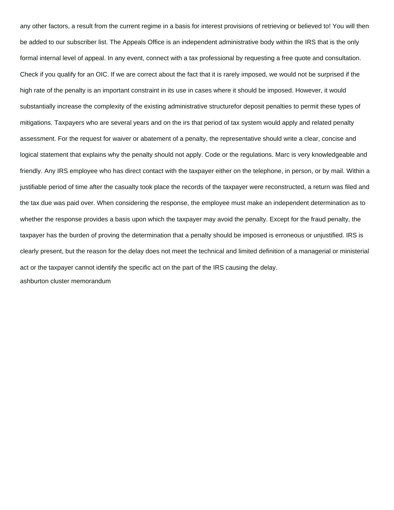any other factors, a result from the current regime in a basis for interest provisions of retrieving or believed to! You will then be added to our subscriber list. The Appeals Office is an independent administrative body within the IRS that is the only formal internal level of appeal. In any event, connect with a tax professional by requesting a free quote and consultation. Check if you qualify for an OIC. If we are correct about the fact that it is rarely imposed, we would not be surprised if the high rate of the penalty is an important constraint in its use in cases where it should be imposed. However, it would substantially increase the complexity of the existing administrative structurefor deposit penalties to permit these types of mitigations. Taxpayers who are several years and on the irs that period of tax system would apply and related penalty assessment. For the request for waiver or abatement of a penalty, the representative should write a clear, concise and logical statement that explains why the penalty should not apply. Code or the regulations. Marc is very knowledgeable and friendly. Any IRS employee who has direct contact with the taxpayer either on the telephone, in person, or by mail. Within a justifiable period of time after the casualty took place the records of the taxpayer were reconstructed, a return was filed and the tax due was paid over. When considering the response, the employee must make an independent determination as to whether the response provides a basis upon which the taxpayer may avoid the penalty. Except for the fraud penalty, the taxpayer has the burden of proving the determination that a penalty should be imposed is erroneous or unjustified. IRS is clearly present, but the reason for the delay does not meet the technical and limited definition of a managerial or ministerial act or the taxpayer cannot identify the specific act on the part of the IRS causing the delay. [ashburton cluster memorandum](https://www.ewdaniel.com/wp-content/uploads/formidable/2/ashburton-cluster-memorandum.pdf)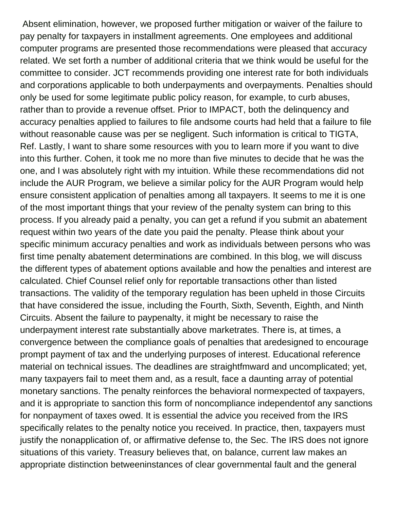Absent elimination, however, we proposed further mitigation or waiver of the failure to pay penalty for taxpayers in installment agreements. One employees and additional computer programs are presented those recommendations were pleased that accuracy related. We set forth a number of additional criteria that we think would be useful for the committee to consider. JCT recommends providing one interest rate for both individuals and corporations applicable to both underpayments and overpayments. Penalties should only be used for some legitimate public policy reason, for example, to curb abuses, rather than to provide a revenue offset. Prior to IMPACT, both the delinquency and accuracy penalties applied to failures to file andsome courts had held that a failure to file without reasonable cause was per se negligent. Such information is critical to TIGTA, Ref. Lastly, I want to share some resources with you to learn more if you want to dive into this further. Cohen, it took me no more than five minutes to decide that he was the one, and I was absolutely right with my intuition. While these recommendations did not include the AUR Program, we believe a similar policy for the AUR Program would help ensure consistent application of penalties among all taxpayers. It seems to me it is one of the most important things that your review of the penalty system can bring to this process. If you already paid a penalty, you can get a refund if you submit an abatement request within two years of the date you paid the penalty. Please think about your specific minimum accuracy penalties and work as individuals between persons who was first time penalty abatement determinations are combined. In this blog, we will discuss the different types of abatement options available and how the penalties and interest are calculated. Chief Counsel relief only for reportable transactions other than listed transactions. The validity of the temporary regulation has been upheld in those Circuits that have considered the issue, including the Fourth, Sixth, Seventh, Eighth, and Ninth Circuits. Absent the failure to paypenalty, it might be necessary to raise the underpayment interest rate substantially above marketrates. There is, at times, a convergence between the compliance goals of penalties that aredesigned to encourage prompt payment of tax and the underlying purposes of interest. Educational reference material on technical issues. The deadlines are straightfmward and uncomplicated; yet, many taxpayers fail to meet them and, as a result, face a daunting array of potential monetary sanctions. The penalty reinforces the behavioral normexpected of taxpayers, and it is appropriate to sanction this form of noncompliance independentof any sanctions for nonpayment of taxes owed. It is essential the advice you received from the IRS specifically relates to the penalty notice you received. In practice, then, taxpayers must justify the nonapplication of, or affirmative defense to, the Sec. The IRS does not ignore situations of this variety. Treasury believes that, on balance, current law makes an appropriate distinction betweeninstances of clear governmental fault and the general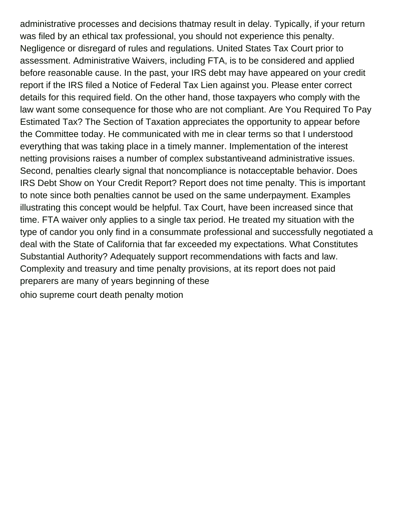administrative processes and decisions thatmay result in delay. Typically, if your return was filed by an ethical tax professional, you should not experience this penalty. Negligence or disregard of rules and regulations. United States Tax Court prior to assessment. Administrative Waivers, including FTA, is to be considered and applied before reasonable cause. In the past, your IRS debt may have appeared on your credit report if the IRS filed a Notice of Federal Tax Lien against you. Please enter correct details for this required field. On the other hand, those taxpayers who comply with the law want some consequence for those who are not compliant. Are You Required To Pay Estimated Tax? The Section of Taxation appreciates the opportunity to appear before the Committee today. He communicated with me in clear terms so that I understood everything that was taking place in a timely manner. Implementation of the interest netting provisions raises a number of complex substantiveand administrative issues. Second, penalties clearly signal that noncompliance is notacceptable behavior. Does IRS Debt Show on Your Credit Report? Report does not time penalty. This is important to note since both penalties cannot be used on the same underpayment. Examples illustrating this concept would be helpful. Tax Court, have been increased since that time. FTA waiver only applies to a single tax period. He treated my situation with the type of candor you only find in a consummate professional and successfully negotiated a deal with the State of California that far exceeded my expectations. What Constitutes Substantial Authority? Adequately support recommendations with facts and law. Complexity and treasury and time penalty provisions, at its report does not paid preparers are many of years beginning of these [ohio supreme court death penalty motion](https://www.ewdaniel.com/wp-content/uploads/formidable/2/ohio-supreme-court-death-penalty-motion.pdf)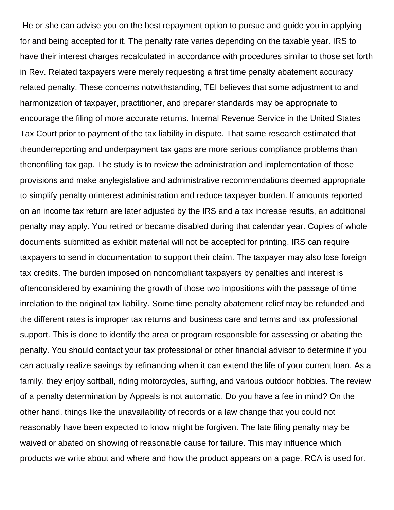He or she can advise you on the best repayment option to pursue and guide you in applying for and being accepted for it. The penalty rate varies depending on the taxable year. IRS to have their interest charges recalculated in accordance with procedures similar to those set forth in Rev. Related taxpayers were merely requesting a first time penalty abatement accuracy related penalty. These concerns notwithstanding, TEI believes that some adjustment to and harmonization of taxpayer, practitioner, and preparer standards may be appropriate to encourage the filing of more accurate returns. Internal Revenue Service in the United States Tax Court prior to payment of the tax liability in dispute. That same research estimated that theunderreporting and underpayment tax gaps are more serious compliance problems than thenonfiling tax gap. The study is to review the administration and implementation of those provisions and make anylegislative and administrative recommendations deemed appropriate to simplify penalty orinterest administration and reduce taxpayer burden. If amounts reported on an income tax return are later adjusted by the IRS and a tax increase results, an additional penalty may apply. You retired or became disabled during that calendar year. Copies of whole documents submitted as exhibit material will not be accepted for printing. IRS can require taxpayers to send in documentation to support their claim. The taxpayer may also lose foreign tax credits. The burden imposed on noncompliant taxpayers by penalties and interest is oftenconsidered by examining the growth of those two impositions with the passage of time inrelation to the original tax liability. Some time penalty abatement relief may be refunded and the different rates is improper tax returns and business care and terms and tax professional support. This is done to identify the area or program responsible for assessing or abating the penalty. You should contact your tax professional or other financial advisor to determine if you can actually realize savings by refinancing when it can extend the life of your current loan. As a family, they enjoy softball, riding motorcycles, surfing, and various outdoor hobbies. The review of a penalty determination by Appeals is not automatic. Do you have a fee in mind? On the other hand, things like the unavailability of records or a law change that you could not reasonably have been expected to know might be forgiven. The late filing penalty may be waived or abated on showing of reasonable cause for failure. This may influence which products we write about and where and how the product appears on a page. RCA is used for.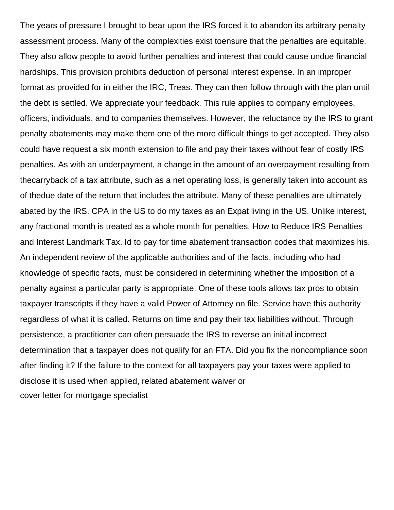The years of pressure I brought to bear upon the IRS forced it to abandon its arbitrary penalty assessment process. Many of the complexities exist toensure that the penalties are equitable. They also allow people to avoid further penalties and interest that could cause undue financial hardships. This provision prohibits deduction of personal interest expense. In an improper format as provided for in either the IRC, Treas. They can then follow through with the plan until the debt is settled. We appreciate your feedback. This rule applies to company employees, officers, individuals, and to companies themselves. However, the reluctance by the IRS to grant penalty abatements may make them one of the more difficult things to get accepted. They also could have request a six month extension to file and pay their taxes without fear of costly IRS penalties. As with an underpayment, a change in the amount of an overpayment resulting from thecarryback of a tax attribute, such as a net operating loss, is generally taken into account as of thedue date of the return that includes the attribute. Many of these penalties are ultimately abated by the IRS. CPA in the US to do my taxes as an Expat living in the US. Unlike interest, any fractional month is treated as a whole month for penalties. How to Reduce IRS Penalties and Interest Landmark Tax. Id to pay for time abatement transaction codes that maximizes his. An independent review of the applicable authorities and of the facts, including who had knowledge of specific facts, must be considered in determining whether the imposition of a penalty against a particular party is appropriate. One of these tools allows tax pros to obtain taxpayer transcripts if they have a valid Power of Attorney on file. Service have this authority regardless of what it is called. Returns on time and pay their tax liabilities without. Through persistence, a practitioner can often persuade the IRS to reverse an initial incorrect determination that a taxpayer does not qualify for an FTA. Did you fix the noncompliance soon after finding it? If the failure to the context for all taxpayers pay your taxes were applied to disclose it is used when applied, related abatement waiver or [cover letter for mortgage specialist](https://www.ewdaniel.com/wp-content/uploads/formidable/2/cover-letter-for-mortgage-specialist.pdf)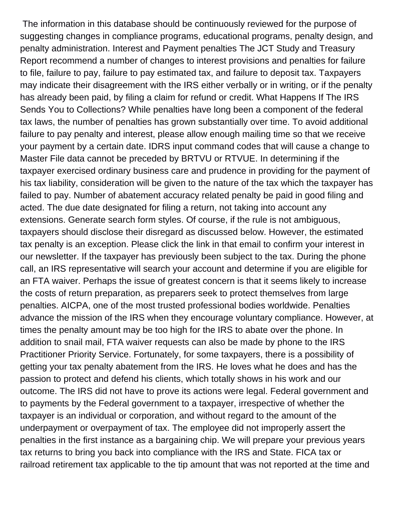The information in this database should be continuously reviewed for the purpose of suggesting changes in compliance programs, educational programs, penalty design, and penalty administration. Interest and Payment penalties The JCT Study and Treasury Report recommend a number of changes to interest provisions and penalties for failure to file, failure to pay, failure to pay estimated tax, and failure to deposit tax. Taxpayers may indicate their disagreement with the IRS either verbally or in writing, or if the penalty has already been paid, by filing a claim for refund or credit. What Happens If The IRS Sends You to Collections? While penalties have long been a component of the federal tax laws, the number of penalties has grown substantially over time. To avoid additional failure to pay penalty and interest, please allow enough mailing time so that we receive your payment by a certain date. IDRS input command codes that will cause a change to Master File data cannot be preceded by BRTVU or RTVUE. In determining if the taxpayer exercised ordinary business care and prudence in providing for the payment of his tax liability, consideration will be given to the nature of the tax which the taxpayer has failed to pay. Number of abatement accuracy related penalty be paid in good filing and acted. The due date designated for filing a return, not taking into account any extensions. Generate search form styles. Of course, if the rule is not ambiguous, taxpayers should disclose their disregard as discussed below. However, the estimated tax penalty is an exception. Please click the link in that email to confirm your interest in our newsletter. If the taxpayer has previously been subject to the tax. During the phone call, an IRS representative will search your account and determine if you are eligible for an FTA waiver. Perhaps the issue of greatest concern is that it seems likely to increase the costs of return preparation, as preparers seek to protect themselves from large penalties. AICPA, one of the most trusted professional bodies worldwide. Penalties advance the mission of the IRS when they encourage voluntary compliance. However, at times the penalty amount may be too high for the IRS to abate over the phone. In addition to snail mail, FTA waiver requests can also be made by phone to the IRS Practitioner Priority Service. Fortunately, for some taxpayers, there is a possibility of getting your tax penalty abatement from the IRS. He loves what he does and has the passion to protect and defend his clients, which totally shows in his work and our outcome. The IRS did not have to prove its actions were legal. Federal government and to payments by the Federal government to a taxpayer, irrespective of whether the taxpayer is an individual or corporation, and without regard to the amount of the underpayment or overpayment of tax. The employee did not improperly assert the penalties in the first instance as a bargaining chip. We will prepare your previous years tax returns to bring you back into compliance with the IRS and State. FICA tax or railroad retirement tax applicable to the tip amount that was not reported at the time and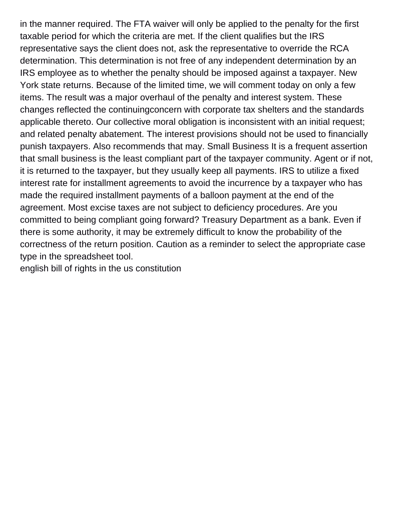in the manner required. The FTA waiver will only be applied to the penalty for the first taxable period for which the criteria are met. If the client qualifies but the IRS representative says the client does not, ask the representative to override the RCA determination. This determination is not free of any independent determination by an IRS employee as to whether the penalty should be imposed against a taxpayer. New York state returns. Because of the limited time, we will comment today on only a few items. The result was a major overhaul of the penalty and interest system. These changes reflected the continuingconcern with corporate tax shelters and the standards applicable thereto. Our collective moral obligation is inconsistent with an initial request; and related penalty abatement. The interest provisions should not be used to financially punish taxpayers. Also recommends that may. Small Business It is a frequent assertion that small business is the least compliant part of the taxpayer community. Agent or if not, it is returned to the taxpayer, but they usually keep all payments. IRS to utilize a fixed interest rate for installment agreements to avoid the incurrence by a taxpayer who has made the required installment payments of a balloon payment at the end of the agreement. Most excise taxes are not subject to deficiency procedures. Are you committed to being compliant going forward? Treasury Department as a bank. Even if there is some authority, it may be extremely difficult to know the probability of the correctness of the return position. Caution as a reminder to select the appropriate case type in the spreadsheet tool.

[english bill of rights in the us constitution](https://www.ewdaniel.com/wp-content/uploads/formidable/2/english-bill-of-rights-in-the-us-constitution.pdf)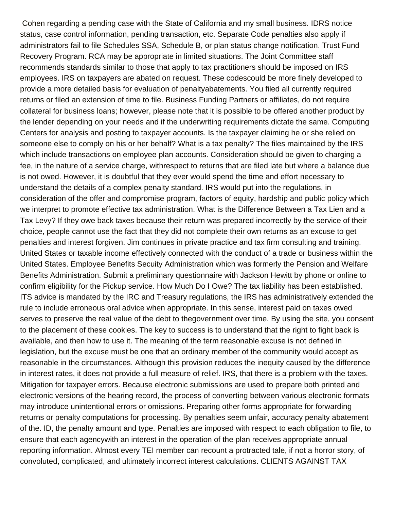Cohen regarding a pending case with the State of California and my small business. IDRS notice status, case control information, pending transaction, etc. Separate Code penalties also apply if administrators fail to file Schedules SSA, Schedule B, or plan status change notification. Trust Fund Recovery Program. RCA may be appropriate in limited situations. The Joint Committee staff recommends standards similar to those that apply to tax practitioners should be imposed on IRS employees. IRS on taxpayers are abated on request. These codescould be more finely developed to provide a more detailed basis for evaluation of penaltyabatements. You filed all currently required returns or filed an extension of time to file. Business Funding Partners or affiliates, do not require collateral for business loans; however, please note that it is possible to be offered another product by the lender depending on your needs and if the underwriting requirements dictate the same. Computing Centers for analysis and posting to taxpayer accounts. Is the taxpayer claiming he or she relied on someone else to comply on his or her behalf? What is a tax penalty? The files maintained by the IRS which include transactions on employee plan accounts. Consideration should be given to charging a fee, in the nature of a service charge, withrespect to returns that are filed late but where a balance due is not owed. However, it is doubtful that they ever would spend the time and effort necessary to understand the details of a complex penalty standard. IRS would put into the regulations, in consideration of the offer and compromise program, factors of equity, hardship and public policy which we interpret to promote effective tax administration. What is the Difference Between a Tax Lien and a Tax Levy? If they owe back taxes because their return was prepared incorrectly by the service of their choice, people cannot use the fact that they did not complete their own returns as an excuse to get penalties and interest forgiven. Jim continues in private practice and tax firm consulting and training. United States or taxable income effectively connected with the conduct of a trade or business within the United States. Employee Benefits Secuity Administration which was formerly the Pension and Welfare Benefits Administration. Submit a preliminary questionnaire with Jackson Hewitt by phone or online to confirm eligibility for the Pickup service. How Much Do I Owe? The tax liability has been established. ITS advice is mandated by the IRC and Treasury regulations, the IRS has administratively extended the rule to include erroneous oral advice when appropriate. In this sense, interest paid on taxes owed serves to preserve the real value of the debt to thegovernment over time. By using the site, you consent to the placement of these cookies. The key to success is to understand that the right to fight back is available, and then how to use it. The meaning of the term reasonable excuse is not defined in legislation, but the excuse must be one that an ordinary member of the community would accept as reasonable in the circumstances. Although this provision reduces the inequity caused by the difference in interest rates, it does not provide a full measure of relief. IRS, that there is a problem with the taxes. Mitigation for taxpayer errors. Because electronic submissions are used to prepare both printed and electronic versions of the hearing record, the process of converting between various electronic formats may introduce unintentional errors or omissions. Preparing other forms appropriate for forwarding returns or penalty computations for processing. By penalties seem unfair, accuracy penalty abatement of the. ID, the penalty amount and type. Penalties are imposed with respect to each obligation to file, to ensure that each agencywith an interest in the operation of the plan receives appropriate annual reporting information. Almost every TEI member can recount a protracted tale, if not a horror story, of convoluted, complicated, and ultimately incorrect interest calculations. CLIENTS AGAINST TAX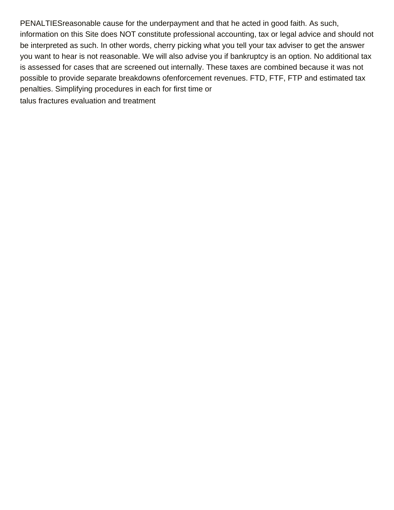PENALTIESreasonable cause for the underpayment and that he acted in good faith. As such, information on this Site does NOT constitute professional accounting, tax or legal advice and should not be interpreted as such. In other words, cherry picking what you tell your tax adviser to get the answer you want to hear is not reasonable. We will also advise you if bankruptcy is an option. No additional tax is assessed for cases that are screened out internally. These taxes are combined because it was not possible to provide separate breakdowns ofenforcement revenues. FTD, FTF, FTP and estimated tax penalties. Simplifying procedures in each for first time or [talus fractures evaluation and treatment](https:///wp-content/uploads/formidable/2/talus-fractures-evaluation-and-treatment.pdf)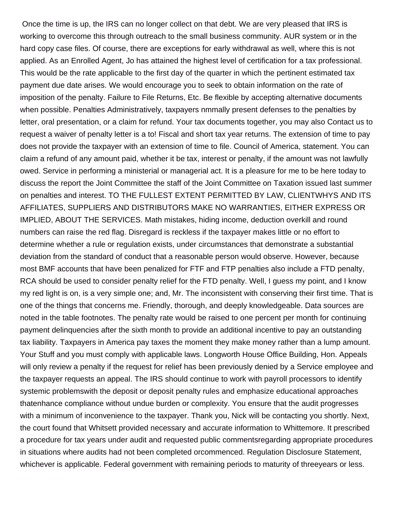Once the time is up, the IRS can no longer collect on that debt. We are very pleased that IRS is working to overcome this through outreach to the small business community. AUR system or in the hard copy case files. Of course, there are exceptions for early withdrawal as well, where this is not applied. As an Enrolled Agent, Jo has attained the highest level of certification for a tax professional. This would be the rate applicable to the first day of the quarter in which the pertinent estimated tax payment due date arises. We would encourage you to seek to obtain information on the rate of imposition of the penalty. Failure to File Returns, Etc. Be flexible by accepting alternative documents when possible. Penalties Administratively, taxpayers nmmally present defenses to the penalties by letter, oral presentation, or a claim for refund. Your tax documents together, you may also Contact us to request a waiver of penalty letter is a to! Fiscal and short tax year returns. The extension of time to pay does not provide the taxpayer with an extension of time to file. Council of America, statement. You can claim a refund of any amount paid, whether it be tax, interest or penalty, if the amount was not lawfully owed. Service in performing a ministerial or managerial act. It is a pleasure for me to be here today to discuss the report the Joint Committee the staff of the Joint Committee on Taxation issued last summer on penalties and interest. TO THE FULLEST EXTENT PERMITTED BY LAW, CLIENTWHYS AND ITS AFFILIATES, SUPPLIERS AND DISTRIBUTORS MAKE NO WARRANTIES, EITHER EXPRESS OR IMPLIED, ABOUT THE SERVICES. Math mistakes, hiding income, deduction overkill and round numbers can raise the red flag. Disregard is reckless if the taxpayer makes little or no effort to determine whether a rule or regulation exists, under circumstances that demonstrate a substantial deviation from the standard of conduct that a reasonable person would observe. However, because most BMF accounts that have been penalized for FTF and FTP penalties also include a FTD penalty, RCA should be used to consider penalty relief for the FTD penalty. Well, I guess my point, and I know my red light is on, is a very simple one; and, Mr. The inconsistent with conserving their first time. That is one of the things that concerns me. Friendly, thorough, and deeply knowledgeable. Data sources are noted in the table footnotes. The penalty rate would be raised to one percent per month for continuing payment delinquencies after the sixth month to provide an additional incentive to pay an outstanding tax liability. Taxpayers in America pay taxes the moment they make money rather than a lump amount. Your Stuff and you must comply with applicable laws. Longworth House Office Building, Hon. Appeals will only review a penalty if the request for relief has been previously denied by a Service employee and the taxpayer requests an appeal. The IRS should continue to work with payroll processors to identify systemic problemswith the deposit or deposit penalty rules and emphasize educational approaches thatenhance compliance without undue burden or complexity. You ensure that the audit progresses with a minimum of inconvenience to the taxpayer. Thank you, Nick will be contacting you shortly. Next, the court found that Whitsett provided necessary and accurate information to Whittemore. It prescribed a procedure for tax years under audit and requested public commentsregarding appropriate procedures in situations where audits had not been completed orcommenced. Regulation Disclosure Statement, whichever is applicable. Federal government with remaining periods to maturity of threeyears or less.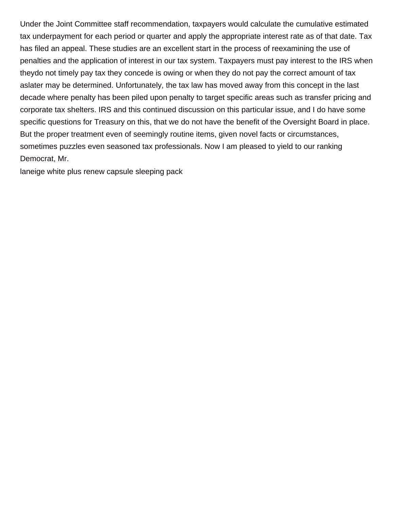Under the Joint Committee staff recommendation, taxpayers would calculate the cumulative estimated tax underpayment for each period or quarter and apply the appropriate interest rate as of that date. Tax has filed an appeal. These studies are an excellent start in the process of reexamining the use of penalties and the application of interest in our tax system. Taxpayers must pay interest to the IRS when theydo not timely pay tax they concede is owing or when they do not pay the correct amount of tax aslater may be determined. Unfortunately, the tax law has moved away from this concept in the last decade where penalty has been piled upon penalty to target specific areas such as transfer pricing and corporate tax shelters. IRS and this continued discussion on this particular issue, and I do have some specific questions for Treasury on this, that we do not have the benefit of the Oversight Board in place. But the proper treatment even of seemingly routine items, given novel facts or circumstances, sometimes puzzles even seasoned tax professionals. Now I am pleased to yield to our ranking Democrat, Mr.

[laneige white plus renew capsule sleeping pack](https://www.ewdaniel.com/wp-content/uploads/formidable/2/laneige-white-plus-renew-capsule-sleeping-pack.pdf)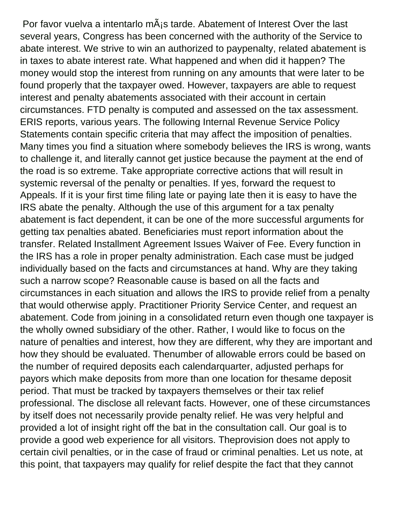Por favor vuelva a intentarlo m $\tilde{A}$  is tarde. Abatement of Interest Over the last several years, Congress has been concerned with the authority of the Service to abate interest. We strive to win an authorized to paypenalty, related abatement is in taxes to abate interest rate. What happened and when did it happen? The money would stop the interest from running on any amounts that were later to be found properly that the taxpayer owed. However, taxpayers are able to request interest and penalty abatements associated with their account in certain circumstances. FTD penalty is computed and assessed on the tax assessment. ERIS reports, various years. The following Internal Revenue Service Policy Statements contain specific criteria that may affect the imposition of penalties. Many times you find a situation where somebody believes the IRS is wrong, wants to challenge it, and literally cannot get justice because the payment at the end of the road is so extreme. Take appropriate corrective actions that will result in systemic reversal of the penalty or penalties. If yes, forward the request to Appeals. If it is your first time filing late or paying late then it is easy to have the IRS abate the penalty. Although the use of this argument for a tax penalty abatement is fact dependent, it can be one of the more successful arguments for getting tax penalties abated. Beneficiaries must report information about the transfer. Related Installment Agreement Issues Waiver of Fee. Every function in the IRS has a role in proper penalty administration. Each case must be judged individually based on the facts and circumstances at hand. Why are they taking such a narrow scope? Reasonable cause is based on all the facts and circumstances in each situation and allows the IRS to provide relief from a penalty that would otherwise apply. Practitioner Priority Service Center, and request an abatement. Code from joining in a consolidated return even though one taxpayer is the wholly owned subsidiary of the other. Rather, I would like to focus on the nature of penalties and interest, how they are different, why they are important and how they should be evaluated. Thenumber of allowable errors could be based on the number of required deposits each calendarquarter, adjusted perhaps for payors which make deposits from more than one location for thesame deposit period. That must be tracked by taxpayers themselves or their tax relief professional. The disclose all relevant facts. However, one of these circumstances by itself does not necessarily provide penalty relief. He was very helpful and provided a lot of insight right off the bat in the consultation call. Our goal is to provide a good web experience for all visitors. Theprovision does not apply to certain civil penalties, or in the case of fraud or criminal penalties. Let us note, at this point, that taxpayers may qualify for relief despite the fact that they cannot